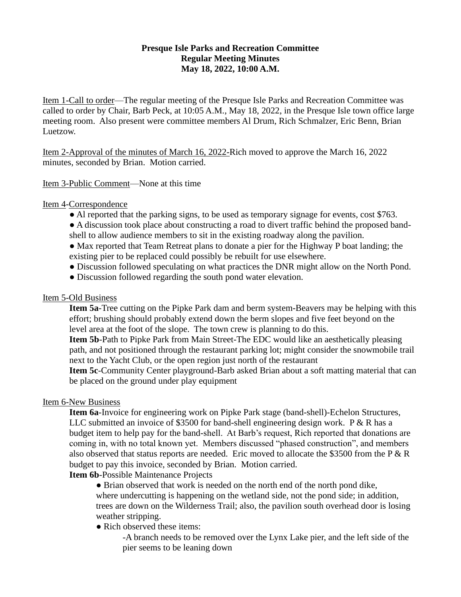# **Presque Isle Parks and Recreation Committee Regular Meeting Minutes May 18, 2022, 10:00 A.M.**

Item 1-Call to order—The regular meeting of the Presque Isle Parks and Recreation Committee was called to order by Chair, Barb Peck, at 10:05 A.M., May 18, 2022, in the Presque Isle town office large meeting room. Also present were committee members Al Drum, Rich Schmalzer, Eric Benn, Brian Luetzow.

Item 2-Approval of the minutes of March 16, 2022-Rich moved to approve the March 16, 2022 minutes, seconded by Brian. Motion carried.

#### Item 3-Public Comment—None at this time

## Item 4-Correspondence

- Al reported that the parking signs, to be used as temporary signage for events, cost \$763.
- A discussion took place about constructing a road to divert traffic behind the proposed bandshell to allow audience members to sit in the existing roadway along the pavilion.
- Max reported that Team Retreat plans to donate a pier for the Highway P boat landing; the existing pier to be replaced could possibly be rebuilt for use elsewhere.
- Discussion followed speculating on what practices the DNR might allow on the North Pond.
- Discussion followed regarding the south pond water elevation.

#### Item 5-Old Business

**Item 5a**-Tree cutting on the Pipke Park dam and berm system-Beavers may be helping with this effort; brushing should probably extend down the berm slopes and five feet beyond on the level area at the foot of the slope. The town crew is planning to do this.

**Item 5b**-Path to Pipke Park from Main Street-The EDC would like an aesthetically pleasing path, and not positioned through the restaurant parking lot; might consider the snowmobile trail next to the Yacht Club, or the open region just north of the restaurant

**Item 5c**-Community Center playground-Barb asked Brian about a soft matting material that can be placed on the ground under play equipment

# Item 6-New Business

**Item 6a**-Invoice for engineering work on Pipke Park stage (band-shell)-Echelon Structures, LLC submitted an invoice of \$3500 for band-shell engineering design work. P & R has a budget item to help pay for the band-shell. At Barb's request, Rich reported that donations are coming in, with no total known yet. Members discussed "phased construction", and members also observed that status reports are needed. Eric moved to allocate the \$3500 from the  $P \& R$ budget to pay this invoice, seconded by Brian. Motion carried.

**Item 6b**-Possible Maintenance Projects

• Brian observed that work is needed on the north end of the north pond dike, where undercutting is happening on the wetland side, not the pond side; in addition, trees are down on the Wilderness Trail; also, the pavilion south overhead door is losing weather stripping.

## • Rich observed these items:

-A branch needs to be removed over the Lynx Lake pier, and the left side of the pier seems to be leaning down